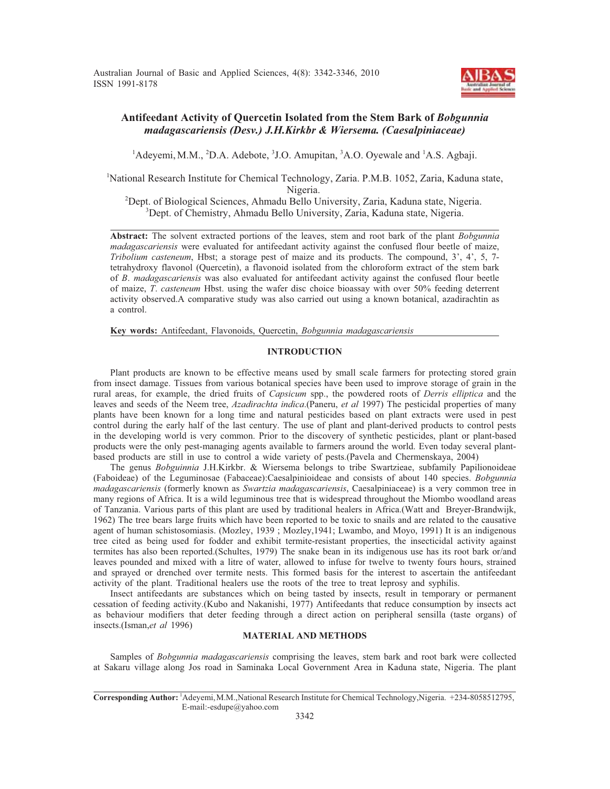Australian Journal of Basic and Applied Sciences, 4(8): 3342-3346, 2010 ISSN 1991-8178



# **Antifeedant Activity of Quercetin Isolated from the Stem Bark of** *Bobgunnia madagascariensis (Desv.) J.H.Kirkbr & Wiersema. (Caesalpiniaceae)*

<sup>1</sup>Adeyemi, M.M., <sup>2</sup>D.A. Adebote, <sup>3</sup>J.O. Amupitan, <sup>3</sup>A.O. Oyewale and <sup>1</sup>A.S. Agbaji.

<sup>1</sup>National Research Institute for Chemical Technology, Zaria. P.M.B. 1052, Zaria, Kaduna state, Nigeria.<br><sup>2</sup>Dent. of Biological Sciences. Ahmadu Bello Us

Dept. of Biological Sciences, Ahmadu Bello University, Zaria, Kaduna state, Nigeria. 3 <sup>3</sup>Dept. of Chemistry, Ahmadu Bello University, Zaria, Kaduna state, Nigeria.

**Abstract:** The solvent extracted portions of the leaves, stem and root bark of the plant *Bobgunnia madagascariensis* were evaluated for antifeedant activity against the confused flour beetle of maize, *Tribolium casteneum*, Hbst; a storage pest of maize and its products. The compound, 3', 4', 5, 7 tetrahydroxy flavonol (Quercetin), a flavonoid isolated from the chloroform extract of the stem bark of *B*. *madagascariensis* was also evaluated for antifeedant activity against the confused flour beetle of maize, *T*. *casteneum* Hbst. using the wafer disc choice bioassay with over 50% feeding deterrent activity observed.A comparative study was also carried out using a known botanical, azadirachtin as a control.

**Key words:** Antifeedant, Flavonoids, Quercetin, *Bobgunnia madagascariensis*

## **INTRODUCTION**

Plant products are known to be effective means used by small scale farmers for protecting stored grain from insect damage. Tissues from various botanical species have been used to improve storage of grain in the rural areas, for example, the dried fruits of *Capsicum* spp., the powdered roots of *Derris elliptica* and the leaves and seeds of the Neem tree, *Azadirachta indica*.(Paneru, *et al* 1997) The pesticidal properties of many plants have been known for a long time and natural pesticides based on plant extracts were used in pest control during the early half of the last century. The use of plant and plant-derived products to control pests in the developing world is very common. Prior to the discovery of synthetic pesticides, plant or plant-based products were the only pest-managing agents available to farmers around the world. Even today several plantbased products are still in use to control a wide variety of pests.(Pavela and Chermenskaya, 2004)

The genus *Bobguinnia* J.H.Kirkbr. & Wiersema belongs to tribe Swartzieae, subfamily Papilionoideae (Faboideae) of the Leguminosae (Fabaceae):Caesalpinioideae and consists of about 140 species. *Bobgunnia madagascariensis* (formerly known as *Swartzia madagascariensis*, Caesalpiniaceae) is a very common tree in many regions of Africa. It is a wild leguminous tree that is widespread throughout the Miombo woodland areas of Tanzania. Various parts of this plant are used by traditional healers in Africa.(Watt and Breyer-Brandwijk, 1962) The tree bears large fruits which have been reported to be toxic to snails and are related to the causative agent of human schistosomiasis. (Mozley, 1939 ; Mozley,1941; Lwambo, and Moyo, 1991) It is an indigenous tree cited as being used for fodder and exhibit termite-resistant properties, the insecticidal activity against termites has also been reported.(Schultes, 1979) The snake bean in its indigenous use has its root bark or/and leaves pounded and mixed with a litre of water, allowed to infuse for twelve to twenty fours hours, strained and sprayed or drenched over termite nests. This formed basis for the interest to ascertain the antifeedant activity of the plant. Traditional healers use the roots of the tree to treat leprosy and syphilis.

Insect antifeedants are substances which on being tasted by insects, result in temporary or permanent cessation of feeding activity.(Kubo and Nakanishi, 1977) Antifeedants that reduce consumption by insects act as behaviour modifiers that deter feeding through a direct action on peripheral sensilla (taste organs) of insects.(Isman,*et al* 1996)

### **MATERIAL AND METHODS**

Samples of *Bobgunnia madagascariensis* comprising the leaves, stem bark and root bark were collected at Sakaru village along Jos road in Saminaka Local Government Area in Kaduna state, Nigeria. The plant

Corresponding Author: <sup>1</sup>Adeyemi, M.M., National Research Institute for Chemical Technology, Nigeria. +234-8058512795, E-mail:-esdupe@yahoo.com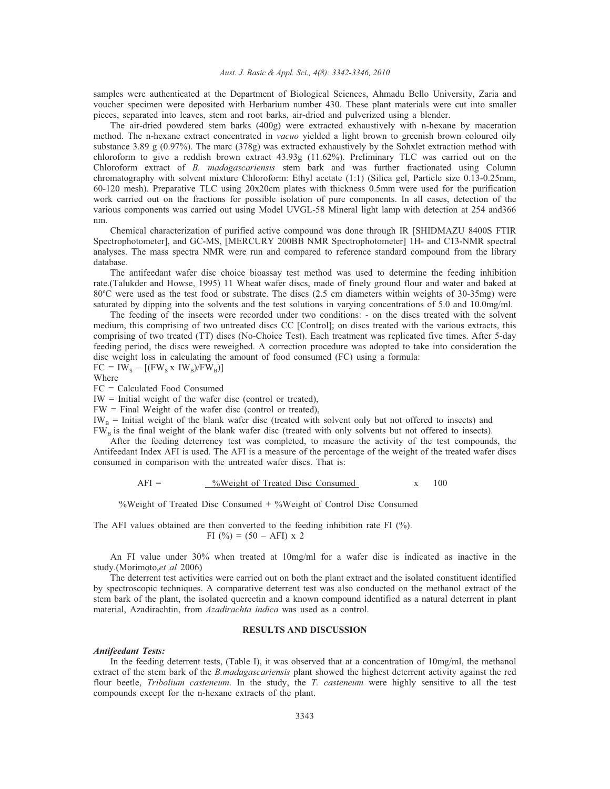### *Aust. J. Basic & Appl. Sci., 4(8): 3342-3346, 2010*

samples were authenticated at the Department of Biological Sciences, Ahmadu Bello University, Zaria and voucher specimen were deposited with Herbarium number 430. These plant materials were cut into smaller pieces, separated into leaves, stem and root barks, air-dried and pulverized using a blender.

The air-dried powdered stem barks (400g) were extracted exhaustively with n-hexane by maceration method. The n-hexane extract concentrated in *vacuo* yielded a light brown to greenish brown coloured oily substance 3.89 g (0.97%). The marc (378g) was extracted exhaustively by the Sohxlet extraction method with chloroform to give a reddish brown extract 43.93g (11.62%). Preliminary TLC was carried out on the Chloroform extract of *B. madagascariensis* stem bark and was further fractionated using Column chromatography with solvent mixture Chloroform: Ethyl acetate (1:1) (Silica gel, Particle size 0.13-0.25mm, 60-120 mesh). Preparative TLC using 20x20cm plates with thickness 0.5mm were used for the purification work carried out on the fractions for possible isolation of pure components. In all cases, detection of the various components was carried out using Model UVGL-58 Mineral light lamp with detection at 254 and366 nm.

Chemical characterization of purified active compound was done through IR [SHIDMAZU 8400S FTIR Spectrophotometer], and GC-MS, [MERCURY 200BB NMR Spectrophotometer] 1H- and C13-NMR spectral analyses. The mass spectra NMR were run and compared to reference standard compound from the library database.

The antifeedant wafer disc choice bioassay test method was used to determine the feeding inhibition rate.(Talukder and Howse, 1995) 11 Wheat wafer discs, made of finely ground flour and water and baked at 80°C were used as the test food or substrate. The discs (2.5 cm diameters within weights of 30-35mg) were saturated by dipping into the solvents and the test solutions in varying concentrations of 5.0 and 10.0mg/ml.

The feeding of the insects were recorded under two conditions: - on the discs treated with the solvent medium, this comprising of two untreated discs CC [Control]; on discs treated with the various extracts, this comprising of two treated (TT) discs (No-Choice Test). Each treatment was replicated five times. After 5-day feeding period, the discs were reweighed. A correction procedure was adopted to take into consideration the disc weight loss in calculating the amount of food consumed (FC) using a formula:  $FC = IW<sub>S</sub> - [(FW<sub>S</sub> x IV<sub>B</sub>)/FW<sub>B</sub>)]$ 

Where

FC = Calculated Food Consumed

 $IW = Initial weight of the water disc (control or treated),$ 

FW = Final Weight of the wafer disc (control or treated),

 $IW_B$  = Initial weight of the blank wafer disc (treated with solvent only but not offered to insects) and

 $FW<sub>B</sub>$  is the final weight of the blank wafer disc (treated with only solvents but not offered to insects).

After the feeding deterrency test was completed, to measure the activity of the test compounds, the Antifeedant Index AFI is used. The AFI is a measure of the percentage of the weight of the treated wafer discs consumed in comparison with the untreated wafer discs. That is:

$$
AFI = \underline{\text{%Weight of Treated Disc Consumed}} \qquad x \qquad 100
$$

%Weight of Treated Disc Consumed + %Weight of Control Disc Consumed

## The AFI values obtained are then converted to the feeding inhibition rate FI (%). FI (%) =  $(50 - AFI)$  x 2

An FI value under 30% when treated at 10mg/ml for a wafer disc is indicated as inactive in the study.(Morimoto,*et al* 2006)

The deterrent test activities were carried out on both the plant extract and the isolated constituent identified by spectroscopic techniques. A comparative deterrent test was also conducted on the methanol extract of the stem bark of the plant, the isolated quercetin and a known compound identified as a natural deterrent in plant material, Azadirachtin, from *Azadirachta indica* was used as a control.

## **RESULTS AND DISCUSSION**

#### *Antifeedant Tests:*

In the feeding deterrent tests, (Table I), it was observed that at a concentration of 10mg/ml, the methanol extract of the stem bark of the *B.madagascariensis* plant showed the highest deterrent activity against the red flour beetle, *Tribolium casteneum*. In the study, the *T. casteneum* were highly sensitive to all the test compounds except for the n-hexane extracts of the plant.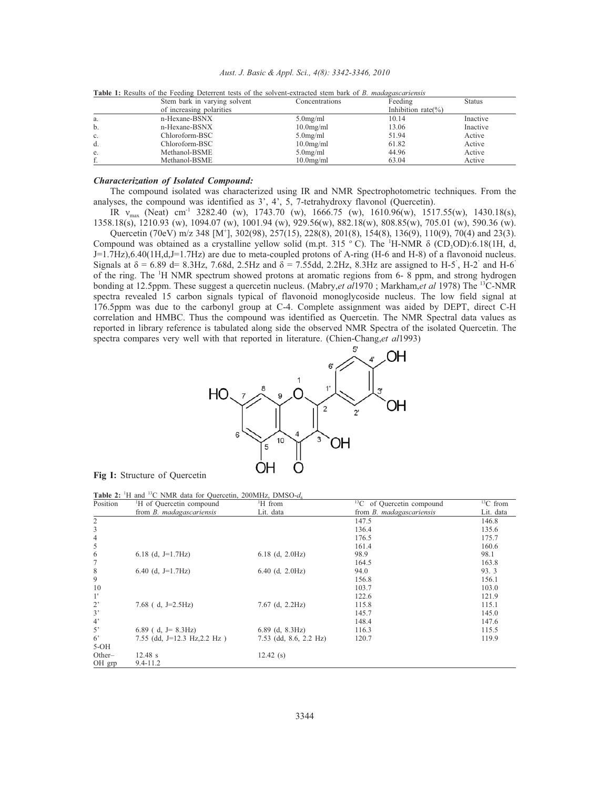| Aust. J. Basic & Appl. Sci., 4(8): 3342-3346, 2010 |  |  |  |  |  |  |
|----------------------------------------------------|--|--|--|--|--|--|
|----------------------------------------------------|--|--|--|--|--|--|

|    | Stem bark in varying solvent | Concentrations | Feeding            | <b>Status</b> |
|----|------------------------------|----------------|--------------------|---------------|
|    | of increasing polarities     |                | Inhibition rate(%) |               |
| a. | n-Hexane-BSNX                | $5.0$ mg/ml    | 10.14              | Inactive      |
| b. | n-Hexane-BSNX                | $10.0$ mg/ml   | 13.06              | Inactive      |
| c. | Chloroform-BSC               | $5.0$ mg/ml    | 51.94              | Active        |
| d. | Chloroform-BSC               | $10.0$ mg/ml   | 61.82              | Active        |
| e. | Methanol-BSME                | $5.0$ mg/ml    | 44.96              | Active        |
|    | Methanol-BSME                | $10.0$ mg/ml   | 63.04              | Active        |

**Table 1:** Results of the Feeding Deterrent tests of the solvent-extracted stem bark of *B. madagascariensis*

### *Characterization of Isolated Compound:*

The compound isolated was characterized using IR and NMR Spectrophotometric techniques. From the analyses, the compound was identified as 3', 4', 5, 7-tetrahydroxy flavonol (Quercetin).

IR  $v_{\text{max}}$  (Neat) cm<sup>-1</sup> 3282.40 (w), 1743.70 (w), 1666.75 (w), 1610.96(w), 1517.55(w), 1430.18(s), 1358.18(s), 1210.93 (w), 1094.07 (w), 1001.94 (w), 929.56(w), 882.18(w), 808.85(w), 705.01 (w), 590.36 (w).

Quercetin (70eV) m/z 348 [M<sup>+</sup>], 302(98), 257(15), 228(8), 201(8), 154(8), 136(9), 110(9), 70(4) and 23(3). Compound was obtained as a crystalline yellow solid (m.pt. 315 °C). The <sup>1</sup>H-NMR  $\delta$  (CD<sub>3</sub>OD):6.18(1H, d, J=1.7Hz),6.40(1H,d,J=1.7Hz) are due to meta-coupled protons of A-ring (H-6 and H-8) of a flavonoid nucleus. Signals at  $\delta = 6.89$  d= 8.3Hz, 7.68d, 2.5Hz and  $\delta = 7.55$ dd, 2.2Hz, 8.3Hz are assigned to H-5', H-2' and H-6' of the ring. The <sup>1</sup>H NMR spectrum showed protons at aromatic regions from 6- 8 ppm, and strong hydrogen bonding at 12.5ppm. These suggest a quercetin nucleus. (Mabry,*et al*1970 ; Markham,*et al* 1978) The 13C-NMR spectra revealed 15 carbon signals typical of flavonoid monoglycoside nucleus. The low field signal at 176.5ppm was due to the carbonyl group at C-4. Complete assignment was aided by DEPT, direct C-H correlation and HMBC. Thus the compound was identified as Quercetin. The NMR Spectral data values as reported in library reference is tabulated along side the observed NMR Spectra of the isolated Quercetin. The spectra compares very well with that reported in literature. (Chien-Chang,*et al*1993)



**Fig I:** Structure of Quercetin

|  |  |  |  | <b>Table 2:</b> <sup>1</sup> H and <sup>13</sup> C NMR data for Quercetin, 200MHz, DMSO- $d_6$ |  |
|--|--|--|--|------------------------------------------------------------------------------------------------|--|
|--|--|--|--|------------------------------------------------------------------------------------------------|--|

| Position       | <sup>1</sup> H of Quercetin compound | <sup>1</sup> H from          | <sup>13</sup> C of Quercetin compound | ${}^{13}C$ from |
|----------------|--------------------------------------|------------------------------|---------------------------------------|-----------------|
|                | from <i>B. madagascariensis</i>      | Lit. data                    | from <i>B. madagascariensis</i>       | Lit. data       |
| $\overline{c}$ |                                      |                              | 147.5                                 | 146.8           |
| 3              |                                      |                              | 136.4                                 | 135.6           |
| $\overline{4}$ |                                      |                              | 176.5                                 | 175.7           |
| 5              |                                      |                              | 161.4                                 | 160.6           |
| 6              | 6.18 (d, $J=1.7Hz$ )                 | $6.18$ (d, $2.0Hz$ )         | 98.9                                  | 98.1            |
| 7              |                                      |                              | 164.5                                 | 163.8           |
| 8              | 6.40 (d, $J=1.7Hz$ )                 | $6.40$ (d, $2.0 \text{Hz}$ ) | 94.0                                  | 93.3            |
| 9              |                                      |                              | 156.8                                 | 156.1           |
| 10             |                                      |                              | 103.7                                 | 103.0           |
| $1^{\prime}$   |                                      |                              | 122.6                                 | 121.9           |
| $2^{\circ}$    | 7.68 (d, J=2.5Hz)                    | $7.67$ (d, $2.2Hz$ )         | 115.8                                 | 115.1           |
| 3'             |                                      |                              | 145.7                                 | 145.0           |
| 4'             |                                      |                              | 148.4                                 | 147.6           |
| 5'             | 6.89 (d, $J = 8.3$ Hz)               | $6.89$ (d, $8.3Hz$ )         | 116.3                                 | 115.5           |
| $6^{\circ}$    | 7.55 (dd, J=12.3 Hz, 2.2 Hz)         | $7.53$ (dd, 8.6, 2.2 Hz)     | 120.7                                 | 119.9           |
| $5-OH$         |                                      |                              |                                       |                 |
| Other-         | 12.48 s                              | $12.42$ (s)                  |                                       |                 |
| OH grp         | $9.4 - 11.2$                         |                              |                                       |                 |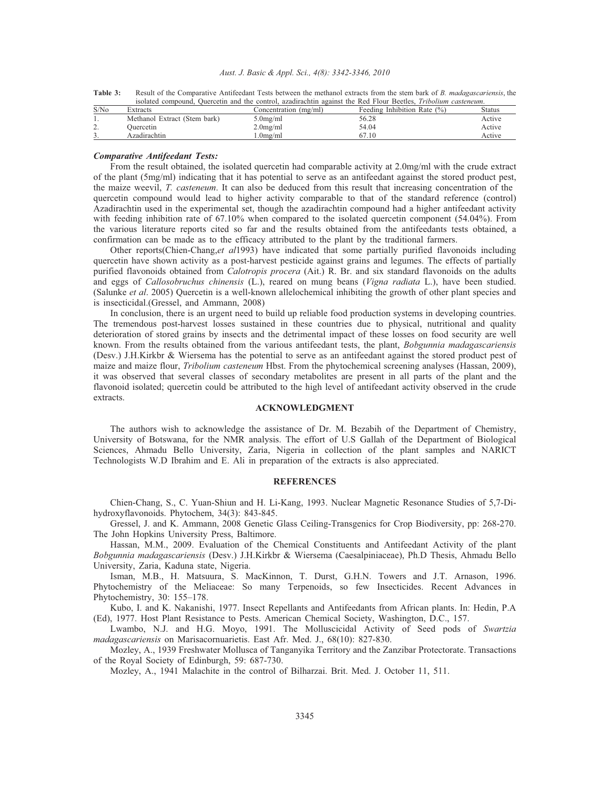#### *Aust. J. Basic & Appl. Sci., 4(8): 3342-3346, 2010*

| $-2$ $-2$ | isolated compound, Quercetin and the control, azadirachtin against the Red Flour Beetles, <i>Tribolium casteneum</i> .   |  |  |
|-----------|--------------------------------------------------------------------------------------------------------------------------|--|--|
| Table 3:  | Result of the Comparative Antifeedant Tests between the methanol extracts from the stem bark of B. madagascariensis, the |  |  |
|           |                                                                                                                          |  |  |

| S/N <sub>0</sub> | Extracts                     | Concentration (mg/ml) | Feeding Inhibition Rate $(\%)$ | Status |
|------------------|------------------------------|-----------------------|--------------------------------|--------|
|                  | Methanol Extract (Stem bark) | 5.0mg/ml              | 56.28                          | Active |
| <b>4.</b>        | Ouercetin                    | $2.0$ mg/ml           | 54.04                          | Active |
| <u>.</u>         | Azadirachtin                 | .0 $m$ g/ml           | 67.10                          | Active |
|                  |                              |                       |                                |        |

## *Comparative Antifeedant Tests:*

From the result obtained, the isolated quercetin had comparable activity at 2.0mg/ml with the crude extract of the plant (5mg/ml) indicating that it has potential to serve as an antifeedant against the stored product pest, the maize weevil, *T. casteneum*. It can also be deduced from this result that increasing concentration of the quercetin compound would lead to higher activity comparable to that of the standard reference (control) Azadirachtin used in the experimental set, though the azadirachtin compound had a higher antifeedant activity with feeding inhibition rate of 67.10% when compared to the isolated quercetin component (54.04%). From the various literature reports cited so far and the results obtained from the antifeedants tests obtained, a confirmation can be made as to the efficacy attributed to the plant by the traditional farmers.

Other reports(Chien-Chang,*et al*1993) have indicated that some partially purified flavonoids including quercetin have shown activity as a post-harvest pesticide against grains and legumes. The effects of partially purified flavonoids obtained from *Calotropis procera* (Ait.) R. Br. and six standard flavonoids on the adults and eggs of *Callosobruchus chinensis* (L.), reared on mung beans (*Vigna radiata* L.), have been studied. (Salunke *et al*. 2005) Quercetin is a well-known allelochemical inhibiting the growth of other plant species and is insecticidal.(Gressel, and Ammann, 2008)

In conclusion, there is an urgent need to build up reliable food production systems in developing countries. The tremendous post-harvest losses sustained in these countries due to physical, nutritional and quality deterioration of stored grains by insects and the detrimental impact of these losses on food security are well known. From the results obtained from the various antifeedant tests, the plant, *Bobgunnia madagascariensis* (Desv.) J.H.Kirkbr & Wiersema has the potential to serve as an antifeedant against the stored product pest of maize and maize flour, *Tribolium casteneum* Hbst. From the phytochemical screening analyses (Hassan, 2009), it was observed that several classes of secondary metabolites are present in all parts of the plant and the flavonoid isolated; quercetin could be attributed to the high level of antifeedant activity observed in the crude extracts.

### **ACKNOWLEDGMENT**

The authors wish to acknowledge the assistance of Dr. M. Bezabih of the Department of Chemistry, University of Botswana, for the NMR analysis. The effort of U.S Gallah of the Department of Biological Sciences, Ahmadu Bello University, Zaria, Nigeria in collection of the plant samples and NARICT Technologists W.D Ibrahim and E. Ali in preparation of the extracts is also appreciated.

### **REFERENCES**

Chien-Chang, S., C. Yuan-Shiun and H. Li-Kang, 1993. Nuclear Magnetic Resonance Studies of 5,7-Dihydroxyflavonoids. Phytochem, 34(3): 843-845.

Gressel, J. and K. Ammann, 2008 Genetic Glass Ceiling-Transgenics for Crop Biodiversity, pp: 268-270. The John Hopkins University Press, Baltimore.

Hassan, M.M., 2009. Evaluation of the Chemical Constituents and Antifeedant Activity of the plant *Bobgunnia madagascariensis* (Desv.) J.H.Kirkbr & Wiersema (Caesalpiniaceae), Ph.D Thesis, Ahmadu Bello University, Zaria, Kaduna state, Nigeria.

Isman, M.B., H. Matsuura, S. MacKinnon, T. Durst, G.H.N. Towers and J.T. Arnason, 1996. Phytochemistry of the Meliaceae: So many Terpenoids, so few Insecticides. Recent Advances in Phytochemistry, 30: 155–178.

Kubo, I. and K. Nakanishi, 1977. Insect Repellants and Antifeedants from African plants. In: Hedin, P.A (Ed), 1977. Host Plant Resistance to Pests. American Chemical Society, Washington, D.C., 157.

Lwambo, N.J. and H.G. Moyo, 1991. The Molluscicidal Activity of Seed pods of *Swartzia madagascariensis* on Marisacornuarietis. East Afr. Med. J., 68(10): 827-830.

Mozley, A., 1939 Freshwater Mollusca of Tanganyika Territory and the Zanzibar Protectorate. Transactions of the Royal Society of Edinburgh, 59: 687-730.

Mozley, A., 1941 Malachite in the control of Bilharzai. Brit. Med. J. October 11, 511.